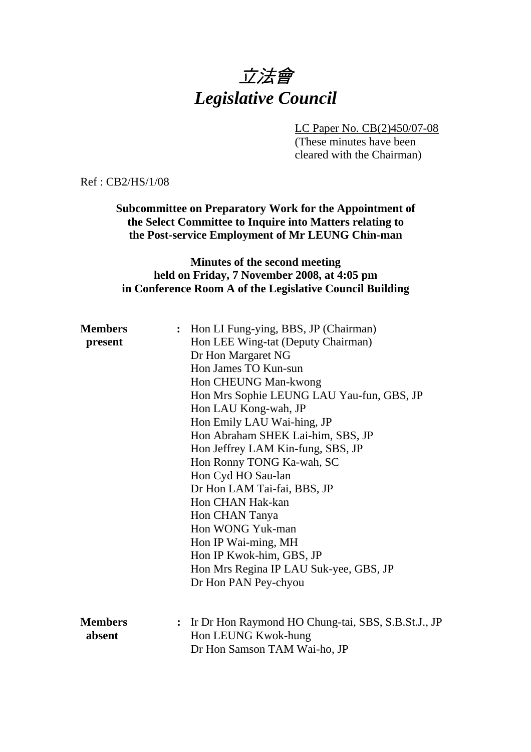# 立法會 *Legislative Council*

LC Paper No. CB(2)450/07-08

(These minutes have been cleared with the Chairman)

Ref : CB2/HS/1/08

**Subcommittee on Preparatory Work for the Appointment of the Select Committee to Inquire into Matters relating to the Post-service Employment of Mr LEUNG Chin-man** 

#### **Minutes of the second meeting held on Friday, 7 November 2008, at 4:05 pm in Conference Room A of the Legislative Council Building**

| <b>Members</b><br>present | : Hon LI Fung-ying, BBS, JP (Chairman)<br>Hon LEE Wing-tat (Deputy Chairman)<br>Dr Hon Margaret NG |
|---------------------------|----------------------------------------------------------------------------------------------------|
|                           | Hon James TO Kun-sun                                                                               |
|                           | Hon CHEUNG Man-kwong                                                                               |
|                           | Hon Mrs Sophie LEUNG LAU Yau-fun, GBS, JP                                                          |
|                           | Hon LAU Kong-wah, JP                                                                               |
|                           | Hon Emily LAU Wai-hing, JP                                                                         |
|                           | Hon Abraham SHEK Lai-him, SBS, JP                                                                  |
|                           | Hon Jeffrey LAM Kin-fung, SBS, JP                                                                  |
|                           | Hon Ronny TONG Ka-wah, SC                                                                          |
|                           | Hon Cyd HO Sau-lan                                                                                 |
|                           | Dr Hon LAM Tai-fai, BBS, JP                                                                        |
|                           | Hon CHAN Hak-kan                                                                                   |
|                           | Hon CHAN Tanya                                                                                     |
|                           | Hon WONG Yuk-man                                                                                   |
|                           | Hon IP Wai-ming, MH                                                                                |
|                           | Hon IP Kwok-him, GBS, JP                                                                           |
|                           | Hon Mrs Regina IP LAU Suk-yee, GBS, JP                                                             |
|                           | Dr Hon PAN Pey-chyou                                                                               |
|                           |                                                                                                    |
| <b>Members</b>            | : Ir Dr Hon Raymond HO Chung-tai, SBS, S.B.St.J., JP                                               |
| absent                    | Hon LEUNG Kwok-hung                                                                                |
|                           | Dr Hon Samson TAM Wai-ho, JP                                                                       |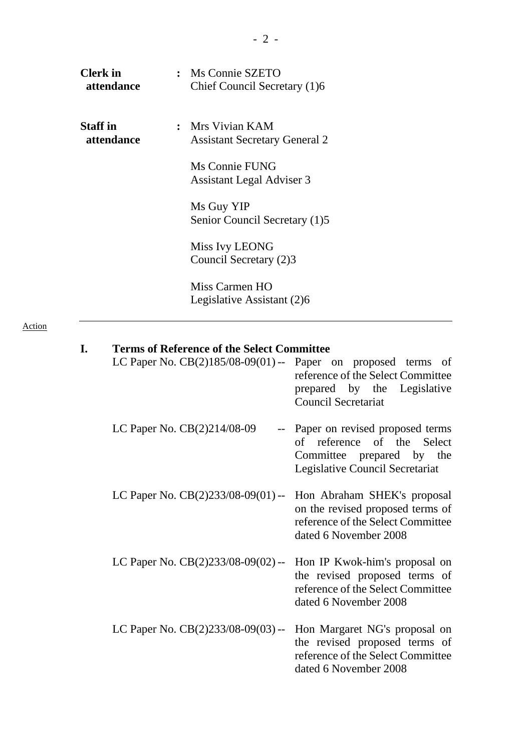| <b>Clerk</b> in<br>attendance | Ms Connie SZETO<br>Chief Council Secretary (1)6        |
|-------------------------------|--------------------------------------------------------|
| <b>Staff</b> in<br>attendance | Mrs Vivian KAM<br><b>Assistant Secretary General 2</b> |
|                               | Ms Connie FUNG<br><b>Assistant Legal Adviser 3</b>     |
|                               | Ms Guy YIP<br>Senior Council Secretary (1)5            |
|                               | Miss Ivy LEONG<br>Council Secretary (2)3               |
|                               | Miss Carmen HO<br>Legislative Assistant (2)6           |

Action

| Terms of Keierence of the select Committee                         |                                                                                                                               |
|--------------------------------------------------------------------|-------------------------------------------------------------------------------------------------------------------------------|
| LC Paper No. $CB(2)185/08-09(01)$ -- Paper on proposed terms of    | reference of the Select Committee<br>prepared by the Legislative<br><b>Council Secretariat</b>                                |
| LC Paper No. CB(2)214/08-09<br>$- -$                               | Paper on revised proposed terms<br>of reference of the Select<br>Committee prepared by the<br>Legislative Council Secretariat |
| LC Paper No. $CB(2)233/08-09(01)$ --                               | Hon Abraham SHEK's proposal<br>on the revised proposed terms of<br>reference of the Select Committee<br>dated 6 November 2008 |
| LC Paper No. $CB(2)233/08-09(02)$ -- Hon IP Kwok-him's proposal on | the revised proposed terms of<br>reference of the Select Committee<br>dated 6 November 2008                                   |
| LC Paper No. $CB(2)233/08-09(03)$ --                               | Hon Margaret NG's proposal on<br>the revised proposed terms of<br>reference of the Select Committee<br>dated 6 November 2008  |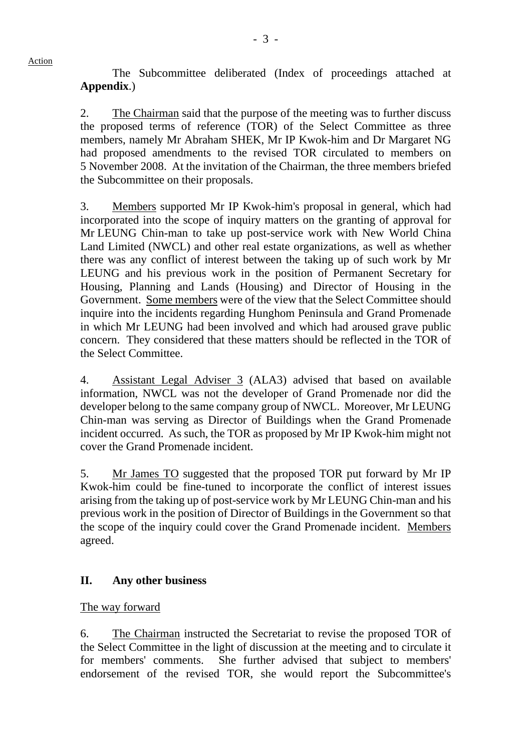1. The Subcommittee deliberated (Index of proceedings attached at **Appendix**.)

2. The Chairman said that the purpose of the meeting was to further discuss the proposed terms of reference (TOR) of the Select Committee as three members, namely Mr Abraham SHEK, Mr IP Kwok-him and Dr Margaret NG had proposed amendments to the revised TOR circulated to members on 5 November 2008. At the invitation of the Chairman, the three members briefed the Subcommittee on their proposals.

3. Members supported Mr IP Kwok-him's proposal in general, which had incorporated into the scope of inquiry matters on the granting of approval for Mr LEUNG Chin-man to take up post-service work with New World China Land Limited (NWCL) and other real estate organizations, as well as whether there was any conflict of interest between the taking up of such work by Mr LEUNG and his previous work in the position of Permanent Secretary for Housing, Planning and Lands (Housing) and Director of Housing in the Government. Some members were of the view that the Select Committee should inquire into the incidents regarding Hunghom Peninsula and Grand Promenade in which Mr LEUNG had been involved and which had aroused grave public concern. They considered that these matters should be reflected in the TOR of the Select Committee.

4. Assistant Legal Adviser 3 (ALA3) advised that based on available information, NWCL was not the developer of Grand Promenade nor did the developer belong to the same company group of NWCL. Moreover, Mr LEUNG Chin-man was serving as Director of Buildings when the Grand Promenade incident occurred. As such, the TOR as proposed by Mr IP Kwok-him might not cover the Grand Promenade incident.

5. Mr James TO suggested that the proposed TOR put forward by Mr IP Kwok-him could be fine-tuned to incorporate the conflict of interest issues arising from the taking up of post-service work by Mr LEUNG Chin-man and his previous work in the position of Director of Buildings in the Government so that the scope of the inquiry could cover the Grand Promenade incident. Members agreed.

## **II. Any other business**

## The way forward

Action

6. The Chairman instructed the Secretariat to revise the proposed TOR of the Select Committee in the light of discussion at the meeting and to circulate it for members' comments. She further advised that subject to members' endorsement of the revised TOR, she would report the Subcommittee's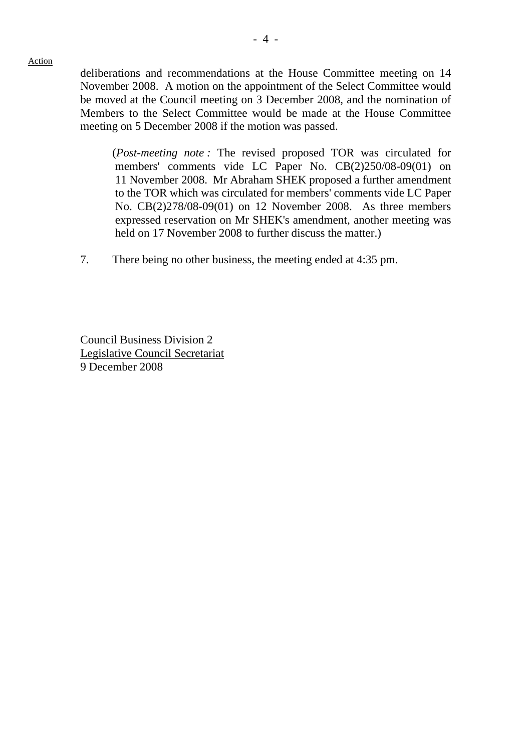Action

deliberations and recommendations at the House Committee meeting on 14 November 2008. A motion on the appointment of the Select Committee would be moved at the Council meeting on 3 December 2008, and the nomination of Members to the Select Committee would be made at the House Committee meeting on 5 December 2008 if the motion was passed.

 (*Post-meeting note :* The revised proposed TOR was circulated for members' comments vide LC Paper No. CB(2)250/08-09(01) on 11 November 2008. Mr Abraham SHEK proposed a further amendment to the TOR which was circulated for members' comments vide LC Paper No. CB(2)278/08-09(01) on 12 November 2008. As three members expressed reservation on Mr SHEK's amendment, another meeting was held on 17 November 2008 to further discuss the matter.)

7. There being no other business, the meeting ended at 4:35 pm.

Council Business Division 2 Legislative Council Secretariat 9 December 2008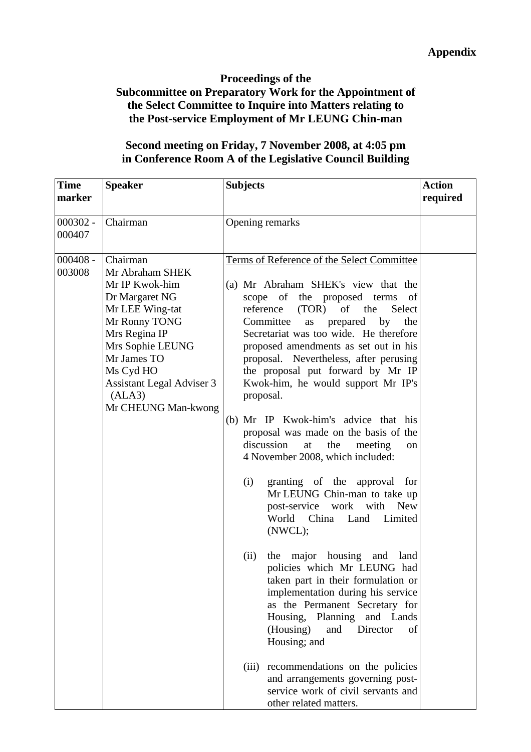#### **Proceedings of the**

## **Subcommittee on Preparatory Work for the Appointment of the Select Committee to Inquire into Matters relating to the Post-service Employment of Mr LEUNG Chin-man**

#### **Second meeting on Friday, 7 November 2008, at 4:05 pm in Conference Room A of the Legislative Council Building**

| <b>Time</b><br>marker | <b>Speaker</b>                                                                                                                                                                                                                            | <b>Subjects</b>                                                                                                                                                                                                                                                                                                                                                                                                                                                                                                                                                                                                                                                                                                                                                                                                                                                                                                                                                                                                                                                                                                                                                                                   | <b>Action</b><br>required |
|-----------------------|-------------------------------------------------------------------------------------------------------------------------------------------------------------------------------------------------------------------------------------------|---------------------------------------------------------------------------------------------------------------------------------------------------------------------------------------------------------------------------------------------------------------------------------------------------------------------------------------------------------------------------------------------------------------------------------------------------------------------------------------------------------------------------------------------------------------------------------------------------------------------------------------------------------------------------------------------------------------------------------------------------------------------------------------------------------------------------------------------------------------------------------------------------------------------------------------------------------------------------------------------------------------------------------------------------------------------------------------------------------------------------------------------------------------------------------------------------|---------------------------|
| $000302 -$<br>000407  | Chairman                                                                                                                                                                                                                                  | Opening remarks                                                                                                                                                                                                                                                                                                                                                                                                                                                                                                                                                                                                                                                                                                                                                                                                                                                                                                                                                                                                                                                                                                                                                                                   |                           |
| $000408 -$<br>003008  | Chairman<br>Mr Abraham SHEK<br>Mr IP Kwok-him<br>Dr Margaret NG<br>Mr LEE Wing-tat<br>Mr Ronny TONG<br>Mrs Regina IP<br>Mrs Sophie LEUNG<br>Mr James TO<br>Ms Cyd HO<br><b>Assistant Legal Adviser 3</b><br>(ALA3)<br>Mr CHEUNG Man-kwong | Terms of Reference of the Select Committee<br>(a) Mr Abraham SHEK's view that the<br>scope of the proposed terms<br>of<br>reference<br>(TOR)<br>of the<br>Select<br>Committee<br>prepared<br>by<br>the<br>as<br>Secretariat was too wide. He therefore<br>proposed amendments as set out in his<br>proposal. Nevertheless, after perusing<br>the proposal put forward by Mr IP<br>Kwok-him, he would support Mr IP's<br>proposal.<br>(b) Mr IP Kwok-him's advice that his<br>proposal was made on the basis of the<br>discussion<br>the<br>at<br>meeting<br>on<br>4 November 2008, which included:<br>granting of the approval for<br>(i)<br>Mr LEUNG Chin-man to take up<br>post-service work<br>with<br><b>New</b><br>China<br>World<br>Land<br>Limited<br>(NWCL);<br>the major housing and land<br>(ii)<br>policies which Mr LEUNG had<br>taken part in their formulation or<br>implementation during his service<br>as the Permanent Secretary for<br>Housing,<br>Planning<br>and Lands<br>(Housing)<br>Director<br>and<br>of<br>Housing; and<br>recommendations on the policies<br>(iii)<br>and arrangements governing post-<br>service work of civil servants and<br>other related matters. |                           |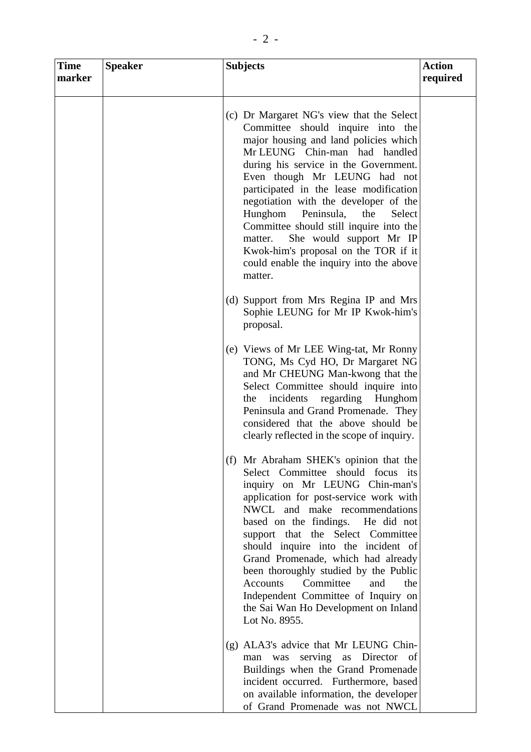| <b>Time</b><br>marker | <b>Speaker</b> | <b>Subjects</b>                                                                                                                                                                                                                                                                                                                                                                                                                                                                                                                               | <b>Action</b><br>required |
|-----------------------|----------------|-----------------------------------------------------------------------------------------------------------------------------------------------------------------------------------------------------------------------------------------------------------------------------------------------------------------------------------------------------------------------------------------------------------------------------------------------------------------------------------------------------------------------------------------------|---------------------------|
|                       |                | (c) Dr Margaret NG's view that the Select<br>Committee should inquire into the<br>major housing and land policies which<br>Mr LEUNG Chin-man had handled<br>during his service in the Government.<br>Even though Mr LEUNG had not<br>participated in the lease modification<br>negotiation with the developer of the<br>Peninsula,<br>Hunghom<br>the<br>Select<br>Committee should still inquire into the<br>She would support Mr IP<br>matter.<br>Kwok-him's proposal on the TOR if it<br>could enable the inquiry into the above<br>matter. |                           |
|                       |                | (d) Support from Mrs Regina IP and Mrs<br>Sophie LEUNG for Mr IP Kwok-him's<br>proposal.                                                                                                                                                                                                                                                                                                                                                                                                                                                      |                           |
|                       |                | (e) Views of Mr LEE Wing-tat, Mr Ronny<br>TONG, Ms Cyd HO, Dr Margaret NG<br>and Mr CHEUNG Man-kwong that the<br>Select Committee should inquire into<br>incidents<br>regarding<br>Hunghom<br>the<br>Peninsula and Grand Promenade. They<br>considered that the above should be<br>clearly reflected in the scope of inquiry.                                                                                                                                                                                                                 |                           |
|                       |                | (f) Mr Abraham SHEK's opinion that the<br>Select Committee should focus its<br>inquiry on Mr LEUNG Chin-man's<br>application for post-service work with<br>NWCL and make recommendations<br>based on the findings. He did not<br>support that the Select Committee<br>should inquire into the incident of<br>Grand Promenade, which had already<br>been thoroughly studied by the Public<br>Committee<br>and<br>Accounts<br>the<br>Independent Committee of Inquiry on<br>the Sai Wan Ho Development on Inland<br>Lot No. 8955.               |                           |
|                       |                | (g) ALA3's advice that Mr LEUNG Chin-<br>serving as Director<br>- of<br>was<br>man<br>Buildings when the Grand Promenade<br>incident occurred. Furthermore, based<br>on available information, the developer<br>of Grand Promenade was not NWCL                                                                                                                                                                                                                                                                                               |                           |